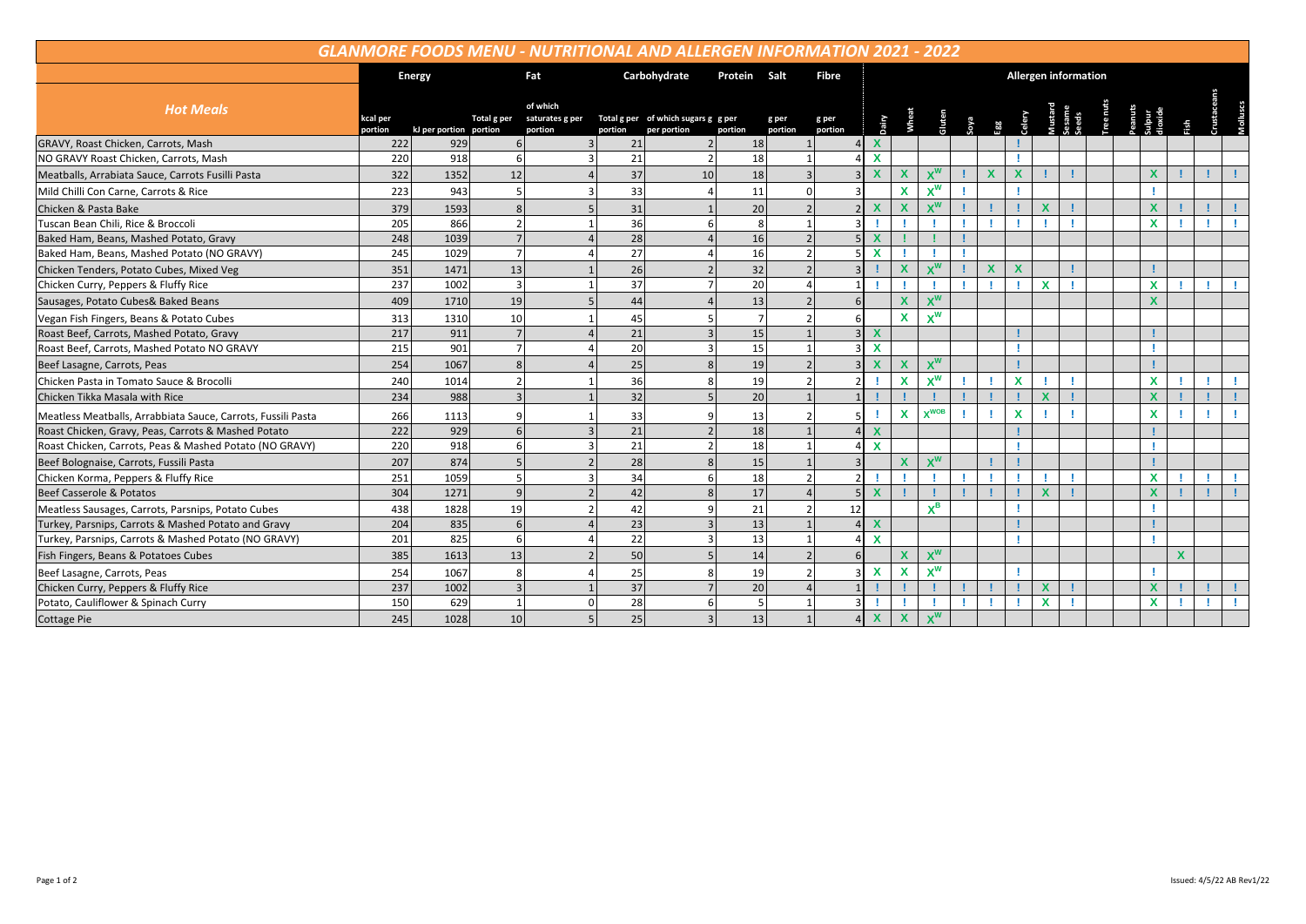| <b>GLANMORE FOODS MENU - NUTRITIONAL AND ALLERGEN INFORMATION 2021 - 2022</b> |                     |                        |                |                                              |         |                                                    |                |                  |                             |                           |                           |                           |  |                         |             |                           |                 |  |  |             |             |  |  |
|-------------------------------------------------------------------------------|---------------------|------------------------|----------------|----------------------------------------------|---------|----------------------------------------------------|----------------|------------------|-----------------------------|---------------------------|---------------------------|---------------------------|--|-------------------------|-------------|---------------------------|-----------------|--|--|-------------|-------------|--|--|
|                                                                               |                     | <b>Energy</b>          |                | Carbohydrate<br>Protein Salt<br>Fat<br>Fibre |         |                                                    |                |                  | <b>Allergen information</b> |                           |                           |                           |  |                         |             |                           |                 |  |  |             |             |  |  |
| <b>Hot Meals</b>                                                              | ccal per<br>portion | kJ per portion portion | Total g per    | of which<br>saturates g per<br>portion       | portion | Total g per of which sugars g g per<br>per portion | portion        | g per<br>portion | g per<br>portion            | Dairy                     |                           | <b>Gluten</b>             |  | soya<br>Egg             | Celery      |                           | iesame<br>ieeds |  |  |             |             |  |  |
| GRAVY, Roast Chicken, Carrots, Mash                                           | 222                 | 929                    |                |                                              | 21      |                                                    | 18             |                  |                             | $\mathbf{x}$              |                           |                           |  |                         |             |                           |                 |  |  |             |             |  |  |
| NO GRAVY Roast Chicken, Carrots, Mash                                         | 220                 | 918                    |                | $\overline{\mathbf{a}}$                      | 21      | 2 <sup>1</sup>                                     | 18             |                  | $\mathbf{1}$                | $\mathbf{x}$              |                           |                           |  |                         |             |                           |                 |  |  |             |             |  |  |
| Meatballs, Arrabiata Sauce, Carrots Fusilli Pasta                             | 322                 | 1352                   | 12             |                                              | 37      | 10                                                 | 18             |                  | $\overline{3}$              | $\mathbf x$               | $\mathbf x$               | $X^W$                     |  | $\overline{\mathbf{x}}$ | X           |                           |                 |  |  |             |             |  |  |
| Mild Chilli Con Carne, Carrots & Rice                                         | 223                 | 943                    |                |                                              | 33      |                                                    | 11             |                  | $\Omega$                    |                           | $\boldsymbol{\mathsf{x}}$ | $X^W$                     |  |                         |             |                           |                 |  |  |             |             |  |  |
| Chicken & Pasta Bake                                                          | 379                 | 1593                   | 8              |                                              | 31      |                                                    | 20             |                  | $\overline{2}$              | $\mathbf x$               | $\mathbf x$               | $\mathbf{v}^{\mathsf{W}}$ |  |                         |             | $\boldsymbol{\mathsf{x}}$ |                 |  |  | X           |             |  |  |
| Tuscan Bean Chili, Rice & Broccoli                                            | 205                 | 866                    | $\overline{2}$ |                                              | 36      | 6                                                  | 8              |                  | $\mathbf{1}$                |                           |                           |                           |  |                         |             |                           |                 |  |  | $\mathbf x$ |             |  |  |
| Baked Ham, Beans, Mashed Potato, Gravy                                        | 248                 | 1039                   |                |                                              | 28      |                                                    | 16             |                  | $\overline{2}$              | $\mathbf{x}$              |                           |                           |  |                         |             |                           |                 |  |  |             |             |  |  |
| Baked Ham, Beans, Mashed Potato (NO GRAVY)                                    | 245                 | 1029                   | $\overline{7}$ |                                              | 27      |                                                    | 16             |                  | $\overline{2}$              | $\boldsymbol{\mathsf{x}}$ |                           |                           |  |                         |             |                           |                 |  |  |             |             |  |  |
| Chicken Tenders, Potato Cubes, Mixed Veg                                      | 351                 | 1471                   | 13             |                                              | 26      |                                                    | 32             |                  | $\overline{z}$              |                           | X                         | $X^W$                     |  | X                       | $\mathbf x$ |                           |                 |  |  |             |             |  |  |
| Chicken Curry, Peppers & Fluffy Rice                                          | 237                 | 1002                   | $\overline{3}$ |                                              | 37      | $\overline{7}$                                     | 20             |                  | $\Delta$                    |                           |                           |                           |  |                         |             | $\mathbf{x}$              |                 |  |  | X           |             |  |  |
| Sausages, Potato Cubes& Baked Beans                                           | 409                 | 1710                   | 19             |                                              | 44      |                                                    | 13             |                  | $\overline{2}$              |                           | $\mathbf x$               | $x^w$                     |  |                         |             |                           |                 |  |  |             |             |  |  |
| Vegan Fish Fingers, Beans & Potato Cubes                                      | 313                 | 1310                   | 10             |                                              | 45      |                                                    | $\overline{7}$ |                  | $\overline{2}$              |                           | X                         | $x^w$                     |  |                         |             |                           |                 |  |  |             |             |  |  |
| Roast Beef, Carrots, Mashed Potato, Gravy                                     | 217                 | 911                    |                |                                              | 21      | $\overline{\mathbf{z}}$                            | 15             |                  |                             | $\mathbf{x}$              |                           |                           |  |                         |             |                           |                 |  |  |             |             |  |  |
| Roast Beef, Carrots, Mashed Potato NO GRAVY                                   | 215                 | 901                    | $\overline{7}$ |                                              | 20      | $\overline{\mathbf{3}}$                            | 15             |                  | $\mathbf{1}$                | $\mathbf{x}$              |                           |                           |  |                         |             |                           |                 |  |  |             |             |  |  |
| Beef Lasagne, Carrots, Peas                                                   | 254                 | 1067                   | $\mathsf{R}$   |                                              | 25      |                                                    | 19             |                  | $\mathfrak{p}$              | $\boldsymbol{\mathsf{x}}$ | X                         | <b>v</b> <sup>W</sup>     |  |                         |             |                           |                 |  |  |             |             |  |  |
| Chicken Pasta in Tomato Sauce & Brocolli                                      | 240                 | 1014                   |                |                                              | 36      |                                                    | <b>19</b>      |                  | $\overline{2}$              |                           | $\boldsymbol{\mathsf{x}}$ | $X^W$                     |  |                         | $\mathbf x$ |                           |                 |  |  | X           |             |  |  |
| Chicken Tikka Masala with Rice                                                | 234                 | 988                    |                |                                              | 32      |                                                    | 20             |                  | $\mathbf{1}$                |                           |                           |                           |  |                         |             |                           |                 |  |  |             |             |  |  |
| Meatless Meatballs, Arrabbiata Sauce, Carrots, Fussili Pasta                  | 266                 | 1113                   |                |                                              | 33      |                                                    | 13             |                  | $\mathcal{P}$               |                           | $\mathbf x$               | $xWOB$                    |  |                         | $\mathbf x$ |                           |                 |  |  | X           |             |  |  |
| Roast Chicken, Gravy, Peas, Carrots & Mashed Potato                           | 222                 | 929                    |                |                                              | 21      |                                                    | 18             |                  |                             | $\mathbf{x}$              |                           |                           |  |                         |             |                           |                 |  |  |             |             |  |  |
| Roast Chicken, Carrots, Peas & Mashed Potato (NO GRAVY)                       | 220                 | 918                    |                |                                              | 21      |                                                    | 18             |                  | $\mathbf{1}$                | $\mathbf{x}$              |                           |                           |  |                         |             |                           |                 |  |  |             |             |  |  |
| Beef Bolognaise, Carrots, Fussili Pasta                                       | 207                 | 874                    |                |                                              | 28      |                                                    | 15             |                  |                             |                           | $\boldsymbol{\mathsf{x}}$ | $\mathbf{v}^{\mathsf{W}}$ |  |                         |             |                           |                 |  |  |             |             |  |  |
| Chicken Korma, Peppers & Fluffy Rice                                          | 251                 | 1059                   |                |                                              | 34      |                                                    | 18             |                  | $\overline{2}$              |                           |                           |                           |  |                         |             |                           |                 |  |  | X           |             |  |  |
| <b>Beef Casserole &amp; Potatos</b>                                           | 304                 | 1271                   | $\mathbf{q}$   |                                              | 42      |                                                    | 17             |                  |                             | $\mathbf{x}$              |                           |                           |  |                         |             | $\mathbf x$               |                 |  |  |             |             |  |  |
| Meatless Sausages, Carrots, Parsnips, Potato Cubes                            | 438                 | 1828                   | 19             |                                              | 42      |                                                    | 21             |                  | 12                          |                           |                           | $\mathbf{v}^{\mathbf{B}}$ |  |                         |             |                           |                 |  |  |             |             |  |  |
| Turkey, Parsnips, Carrots & Mashed Potato and Gravy                           | 204                 | 835                    | 6              |                                              | 23      |                                                    | 13             |                  |                             | $\mathbf{x}$              |                           |                           |  |                         |             |                           |                 |  |  |             |             |  |  |
| Turkey, Parsnips, Carrots & Mashed Potato (NO GRAVY)                          | 201                 | 825                    |                |                                              | 22      |                                                    | 13             |                  | 1                           | $\mathbf{x}$              |                           |                           |  |                         |             |                           |                 |  |  |             |             |  |  |
| Fish Fingers, Beans & Potatoes Cubes                                          | 385                 | 1613                   | 13             |                                              | 50      |                                                    | 14             |                  | $\mathfrak{p}$              |                           | $\mathbf x$               | $x^w$                     |  |                         |             |                           |                 |  |  |             | $\mathbf x$ |  |  |
| Beef Lasagne, Carrots, Peas                                                   | 254                 | 1067                   | 8              |                                              | 25      |                                                    | 19             |                  | $\mathcal{P}$               | $\mathbf{x}$              | X                         | $X^W$                     |  |                         |             |                           |                 |  |  |             |             |  |  |
| Chicken Curry, Peppers & Fluffy Rice                                          | 237                 | 1002                   |                |                                              | 37      |                                                    | 20             |                  |                             |                           |                           |                           |  |                         |             | $\mathbf x$               |                 |  |  | $\mathbf x$ |             |  |  |
| Potato, Cauliflower & Spinach Curry                                           | 150                 | 629                    |                |                                              | 28      | 6                                                  | $\overline{5}$ |                  | $\mathbf{1}$                |                           |                           |                           |  |                         |             | $\boldsymbol{\mathsf{x}}$ |                 |  |  | $\mathbf x$ |             |  |  |
| <b>Cottage Pie</b>                                                            | 245                 | 1028                   | 10             |                                              | 25      | 3                                                  | 13             |                  | $\mathbf{1}$                | $\mathbf x$               | $\boldsymbol{\mathsf{x}}$ | $\mathbf{v}^{\mathsf{W}}$ |  |                         |             |                           |                 |  |  |             |             |  |  |